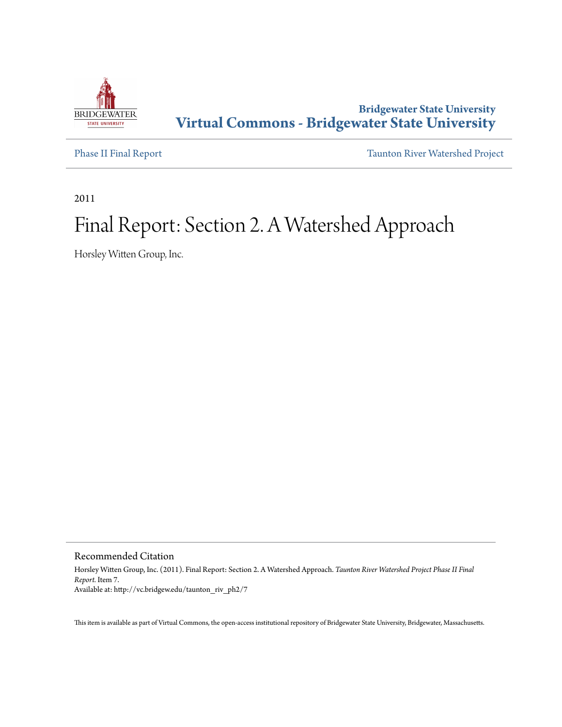

## **Bridgewater State University [Virtual Commons - Bridgewater State University](http://vc.bridgew.edu)**

[Phase II Final Report](http://vc.bridgew.edu/taunton_riv_ph2) [Taunton River Watershed Project](http://vc.bridgew.edu/taunton_riv)

2011

## Final Report: Section 2. A Watershed Approach

Horsley Witten Group, Inc.

Recommended Citation

Horsley Witten Group, Inc. (2011). Final Report: Section 2. A Watershed Approach. *Taunton River Watershed Project Phase II Final Report.* Item 7. Available at: http://vc.bridgew.edu/taunton\_riv\_ph2/7

This item is available as part of Virtual Commons, the open-access institutional repository of Bridgewater State University, Bridgewater, Massachusetts.